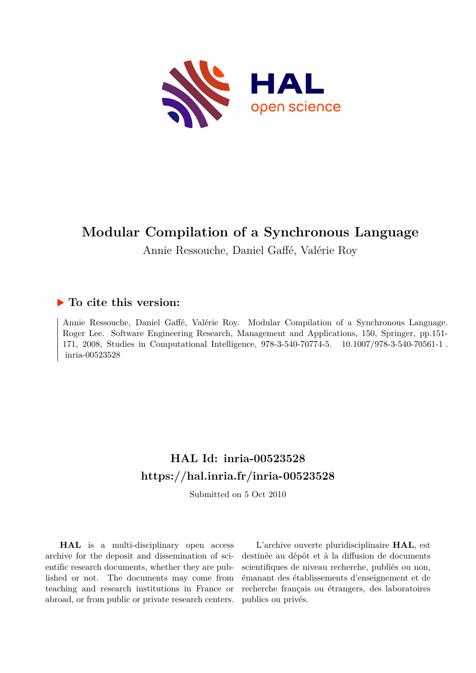

# **Modular Compilation of a Synchronous Language**

Annie Ressouche, Daniel Gaffé, Valérie Roy

# **To cite this version:**

Annie Ressouche, Daniel Gaffé, Valérie Roy. Modular Compilation of a Synchronous Language. Roger Lee. Software Engineering Research, Management and Applications, 150, Springer, pp.151- 171, 2008, Studies in Computational Intelligence, 978-3-540-70774-5. 10.1007/978-3-540-70561-1. inria-00523528

# **HAL Id: inria-00523528 <https://hal.inria.fr/inria-00523528>**

Submitted on 5 Oct 2010

**HAL** is a multi-disciplinary open access archive for the deposit and dissemination of scientific research documents, whether they are published or not. The documents may come from teaching and research institutions in France or abroad, or from public or private research centers.

L'archive ouverte pluridisciplinaire **HAL**, est destinée au dépôt et à la diffusion de documents scientifiques de niveau recherche, publiés ou non, émanant des établissements d'enseignement et de recherche français ou étrangers, des laboratoires publics ou privés.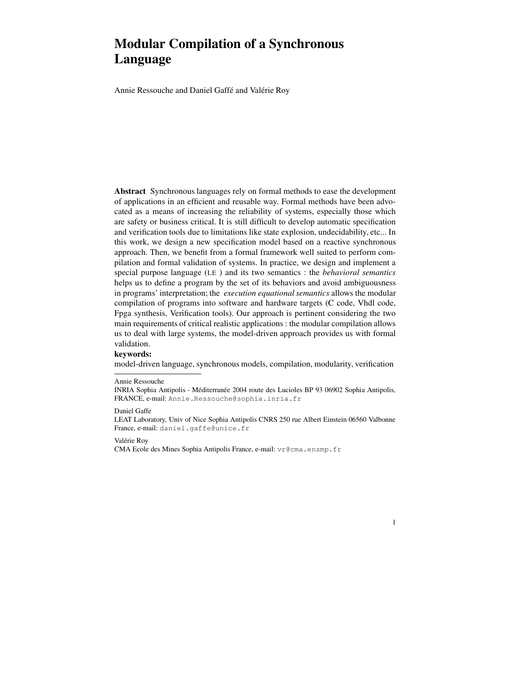# **Modular Compilation of a Synchronous Language**

Annie Ressouche and Daniel Gaffé and Valérie Roy

**Abstract** Synchronous languages rely on formal methods to ease the development of applications in an efficient and reusable way. Formal methods have been advocated as a means of increasing the reliability of systems, especially those which are safety or business critical. It is still difficult to develop automatic specification and verification tools due to limitations like state explosion, undecidability, etc... In this work, we design a new specification model based on a reactive synchronous approach. Then, we benefit from a formal framework well suited to perform compilation and formal validation of systems. In practice, we design and implement a special purpose language (LE ) and its two semantics : the *behavioral semantics* helps us to define a program by the set of its behaviors and avoid ambiguousness in programs' interpretation; the *execution equational semantics* allows the modular compilation of programs into software and hardware targets (C code, Vhdl code, Fpga synthesis, Verification tools). Our approach is pertinent considering the two main requirements of critical realistic applications : the modular compilation allows us to deal with large systems, the model-driven approach provides us with formal validation.

#### **keywords:**

model-driven language, synchronous models, compilation, modularity, verification

Daniel Gaffe

1

Valérie Roy

CMA Ecole des Mines Sophia Antipolis France, e-mail: vr@cma.ensmp.fr

Annie Ressouche

INRIA Sophia Antipolis - Méditerranée 2004 route des Lucioles BP 93 06902 Sophia Antipolis, FRANCE, e-mail: Annie.Ressouche@sophia.inria.fr

LEAT Laboratory, Univ of Nice Sophia Antipolis CNRS 250 rue Albert Einstein 06560 Valbonne France, e-mail: daniel.gaffe@unice.fr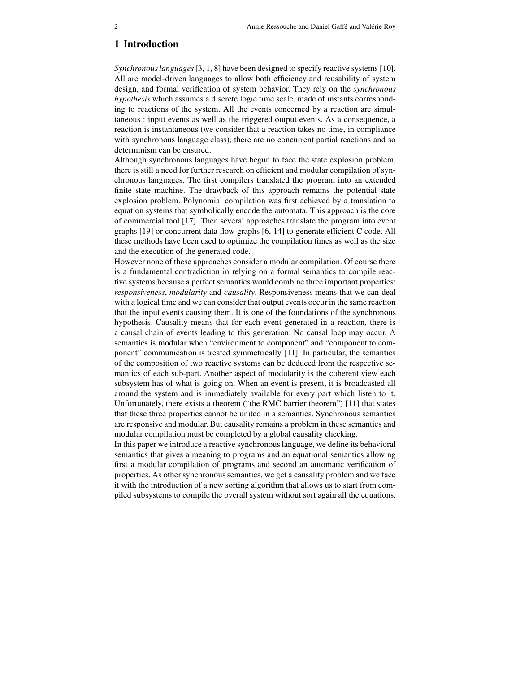# **1 Introduction**

*Synchronouslanguages*[3, 1, 8] have been designed to specify reactive systems [10]. All are model-driven languages to allow both efficiency and reusability of system design, and formal verification of system behavior. They rely on the *synchronous hypothesis* which assumes a discrete logic time scale, made of instants corresponding to reactions of the system. All the events concerned by a reaction are simultaneous : input events as well as the triggered output events. As a consequence, a reaction is instantaneous (we consider that a reaction takes no time, in compliance with synchronous language class), there are no concurrent partial reactions and so determinism can be ensured.

Although synchronous languages have begun to face the state explosion problem, there is still a need for further research on efficient and modular compilation of synchronous languages. The first compilers translated the program into an extended finite state machine. The drawback of this approach remains the potential state explosion problem. Polynomial compilation was first achieved by a translation to equation systems that symbolically encode the automata. This approach is the core of commercial tool [17]. Then several approaches translate the program into event graphs [19] or concurrent data flow graphs [6, 14] to generate efficient C code. All these methods have been used to optimize the compilation times as well as the size and the execution of the generated code.

However none of these approaches consider a modular compilation. Of course there is a fundamental contradiction in relying on a formal semantics to compile reactive systems because a perfect semantics would combine three important properties: *responsiveness*, *modularity* and *causality*. Responsiveness means that we can deal with a logical time and we can consider that output events occur in the same reaction that the input events causing them. It is one of the foundations of the synchronous hypothesis. Causality means that for each event generated in a reaction, there is a causal chain of events leading to this generation. No causal loop may occur. A semantics is modular when "environment to component" and "component to component" communication is treated symmetrically [11]. In particular, the semantics of the composition of two reactive systems can be deduced from the respective semantics of each sub-part. Another aspect of modularity is the coherent view each subsystem has of what is going on. When an event is present, it is broadcasted all around the system and is immediately available for every part which listen to it. Unfortunately, there exists a theorem ("the RMC barrier theorem") [11] that states that these three properties cannot be united in a semantics. Synchronous semantics are responsive and modular. But causality remains a problem in these semantics and modular compilation must be completed by a global causality checking.

In this paper we introduce a reactive synchronouslanguage, we define its behavioral semantics that gives a meaning to programs and an equational semantics allowing first a modular compilation of programs and second an automatic verification of properties. As other synchronoussemantics, we get a causality problem and we face it with the introduction of a new sorting algorithm that allows us to start from compiled subsystems to compile the overall system without sort again all the equations.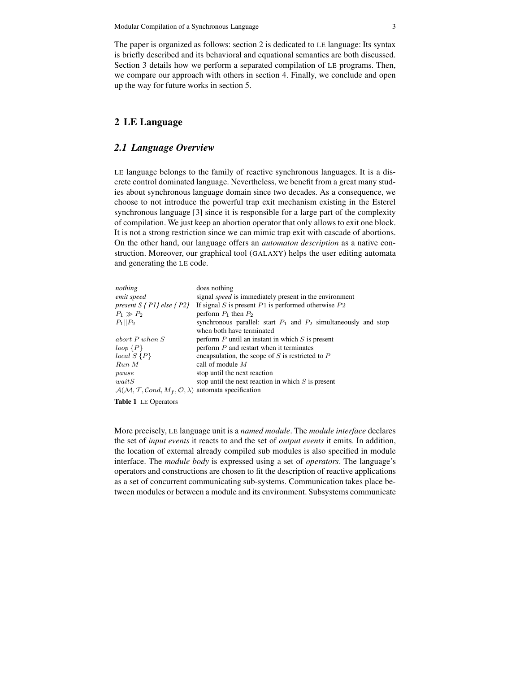The paper is organized as follows: section 2 is dedicated to LE language: Its syntax is briefly described and its behavioral and equational semantics are both discussed. Section 3 details how we perform a separated compilation of LE programs. Then, we compare our approach with others in section 4. Finally, we conclude and open up the way for future works in section 5.

# **2 LE Language**

#### *2.1 Language Overview*

LE language belongs to the family of reactive synchronous languages. It is a discrete control dominated language. Nevertheless, we benefit from a great many studies about synchronous language domain since two decades. As a consequence, we choose to not introduce the powerful trap exit mechanism existing in the Esterel synchronous language [3] since it is responsible for a large part of the complexity of compilation. We just keep an abortion operator that only allows to exit one block. It is not a strong restriction since we can mimic trap exit with cascade of abortions. On the other hand, our language offers an *automaton description* as a native construction. Moreover, our graphical tool (GALAXY) helps the user editing automata and generating the LE code.

| nothing                                                                                                   | does nothing                                                        |
|-----------------------------------------------------------------------------------------------------------|---------------------------------------------------------------------|
| emit speed                                                                                                | signal <i>speed</i> is immediately present in the environment       |
| present $S \$ P1 } else $\$ P2 }                                                                          | If signal S is present $P1$ is performed otherwise $P2$             |
| $P_1 \gg P_2$                                                                                             | perform $P_1$ then $P_2$                                            |
| $P_1  P_2$                                                                                                | synchronous parallel: start $P_1$ and $P_2$ simultaneously and stop |
|                                                                                                           | when both have terminated                                           |
| abort $P$ when $S$                                                                                        | perform $P$ until an instant in which $S$ is present                |
| loop(P)                                                                                                   | perform $P$ and restart when it terminates                          |
| $local S \{P\}$                                                                                           | encapsulation, the scope of $S$ is restricted to $P$                |
| $Run\ M$                                                                                                  | call of module $M$                                                  |
| pause                                                                                                     | stop until the next reaction                                        |
| waitS                                                                                                     | stop until the next reaction in which $S$ is present                |
| $\mathcal{A}(\mathcal{M}, \mathcal{T}, \mathcal{C}ond, M_f, \mathcal{O}, \lambda)$ automata specification |                                                                     |
| <b>Table 1</b> LE Operators                                                                               |                                                                     |

More precisely, LE language unit is a *named module*. The *module interface* declares the set of *input events* it reacts to and the set of *output events* it emits. In addition, the location of external already compiled sub modules is also specified in module interface. The *module body* is expressed using a set of *operators*. The language's operators and constructions are chosen to fit the description of reactive applications as a set of concurrent communicating sub-systems. Communication takes place between modules or between a module and its environment. Subsystems communicate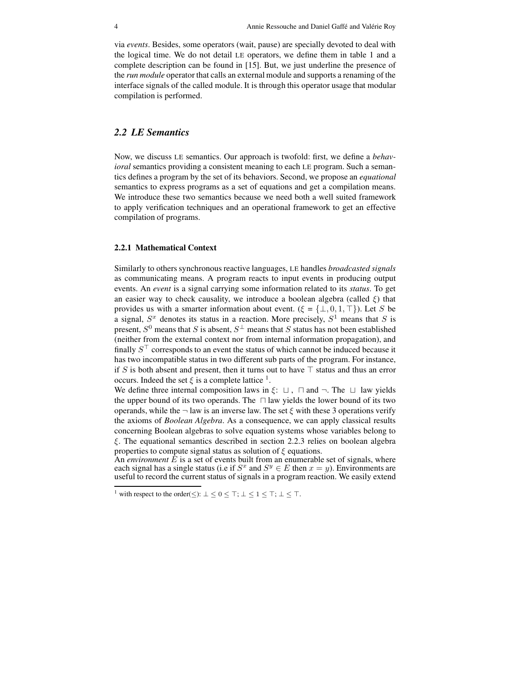via *events*. Besides, some operators (wait, pause) are specially devoted to deal with the logical time. We do not detail LE operators, we define them in table 1 and a complete description can be found in [15]. But, we just underline the presence of the *run module* operator that calls an external module and supports a renaming of the interface signals of the called module. It is through this operator usage that modular compilation is performed.

### *2.2 LE Semantics*

Now, we discuss LE semantics. Our approach is twofold: first, we define a *behavioral* semantics providing a consistent meaning to each LE program. Such a semantics defines a program by the set of its behaviors. Second, we propose an *equational* semantics to express programs as a set of equations and get a compilation means. We introduce these two semantics because we need both a well suited framework to apply verification techniques and an operational framework to get an effective compilation of programs.

#### **2.2.1 Mathematical Context**

Similarly to others synchronous reactive languages, LE handles *broadcasted signals* as communicating means. A program reacts to input events in producing output events. An *event* is a signal carrying some information related to its *status*. To get an easier way to check causality, we introduce a boolean algebra (called  $\xi$ ) that provides us with a smarter information about event. ( $\xi = \{\perp, 0, 1, \perp\}$ ). Let S be a signal,  $S<sup>x</sup>$  denotes its status in a reaction. More precisely,  $S<sup>1</sup>$  means that S is present,  $S^0$  means that S is absent,  $S^{\perp}$  means that S status has not been established (neither from the external context nor from internal information propagation), and finally  $S^{\top}$  corresponds to an event the status of which cannot be induced because it has two incompatible status in two different sub parts of the program. For instance, if S is both absent and present, then it turns out to have  $\top$  status and thus an error occurs. Indeed the set  $\xi$  is a complete lattice <sup>1</sup>.

We define three internal composition laws in  $\xi: \Box$ ,  $\Box$  and  $\neg$ . The  $\Box$  law yields the upper bound of its two operands. The  $\Box$  law yields the lower bound of its two operands, while the  $\neg$  law is an inverse law. The set  $\xi$  with these 3 operations verify the axioms of *Boolean Algebra*. As a consequence, we can apply classical results concerning Boolean algebras to solve equation systems whose variables belong to  $\xi$ . The equational semantics described in section 2.2.3 relies on boolean algebra properties to compute signal status as solution of  $\xi$  equations.

An *environment*  $\hat{E}$  is a set of events built from an enumerable set of signals, where each signal has a single status (i.e if  $S^x$  and  $S^y \in E$  then  $x = y$ ). Environments are useful to record the current status of signals in a program reaction. We easily extend

<sup>&</sup>lt;sup>1</sup> with respect to the order( $\leq$ ):  $\perp \leq 0 \leq \top$ ;  $\perp \leq 1 \leq \top$ ;  $\perp \leq \top$ .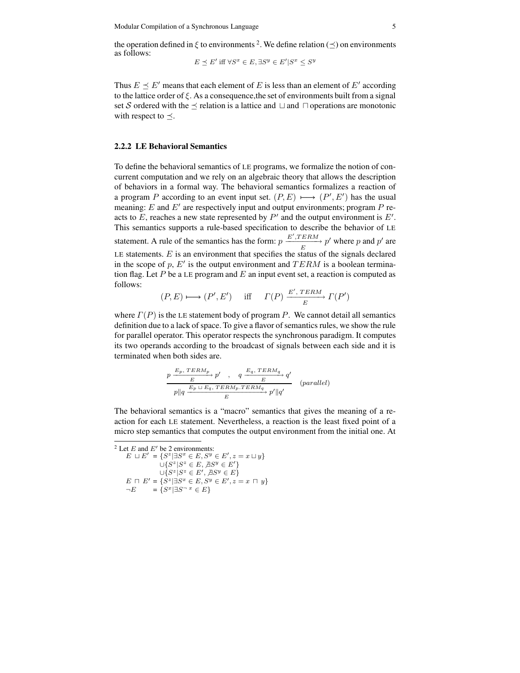the operation defined in  $\xi$  to environments <sup>2</sup>. We define relation ( $\preceq$ ) on environments as follows:

$$
E \preceq E' \text{ iff } \forall S^x \in E, \exists S^y \in E' | S^x \leq S^y
$$

Thus  $E \preceq E'$  means that each element of E is less than an element of E' according to the lattice order of  $\xi$ . As a consequence, the set of environments built from a signal set S ordered with the  $\prec$  relation is a lattice and  $\sqcup$  and  $\sqcap$  operations are monotonic with respect to  $\preceq$ .

#### **2.2.2 LE Behavioral Semantics**

To define the behavioral semantics of LE programs, we formalize the notion of concurrent computation and we rely on an algebraic theory that allows the description of behaviors in a formal way. The behavioral semantics formalizes a reaction of a program P according to an event input set.  $(P, E) \longmapsto (P', E')$  has the usual meaning:  $E$  and  $E'$  are respectively input and output environments; program  $P$  reacts to  $E$ , reaches a new state represented by  $P'$  and the output environment is  $E'$ . This semantics supports a rule-based specification to describe the behavior of LE statement. A rule of the semantics has the form:  $p \xrightarrow{E', TERN} p'$  where p and p' are LE statements.  $E$  is an environment that specifies the status of the signals declared in the scope of p,  $E'$  is the output environment and  $TERM$  is a boolean termination flag. Let  $P$  be a LE program and  $E$  an input event set, a reaction is computed as follows:  $\overline{a}$ 

$$
(P, E) \longmapsto (P', E') \quad \text{iff} \quad \Gamma(P) \xrightarrow{E', \text{TERM}} \Gamma(P')
$$

where  $\Gamma(P)$  is the LE statement body of program P. We cannot detail all semantics definition due to a lack of space. To give a flavor of semantics rules, we show the rule for parallel operator. This operator respects the synchronous paradigm. It computes its two operands according to the broadcast of signals between each side and it is terminated when both sides are.

$$
\frac{p\xrightarrow{E_p, TERM_p}{E}p'\quad ,\quad q\xrightarrow{E_q, TERM_q}{E}q'\quad (parallel)\quad p||q\xrightarrow{E_p\sqcup E_q, TERM_p, TERM_q}{E}p'||q'\quad (parallel)
$$

The behavioral semantics is a "macro" semantics that gives the meaning of a reaction for each LE statement. Nevertheless, a reaction is the least fixed point of a micro step semantics that computes the output environment from the initial one. At

<sup>2</sup> Let  $E$  and  $E'$  be 2 environments:  $E \sqcup E' = \{S^z | \exists S^x \in E, S^y \in E', z = x \sqcup y\}$  $\bigcup \{S^z | S^z \in E, \overline{A}S^y \in E'\}$  $\cup \{S^z | S^z \in E', \overline{A}S^y \in E\}$  $E \cap E' = \{S^z | \exists S^x \in E, S^y \in E', z = x \cap y\}$  $\neg E$  =  $\{S^x | \exists S \neg x \in E\}$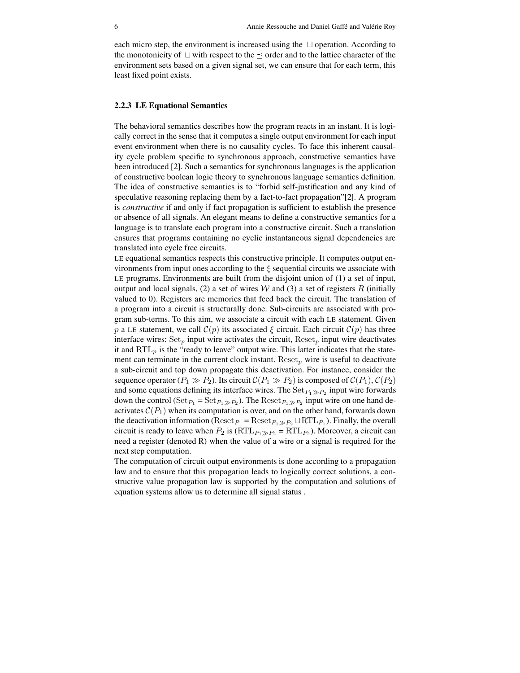each micro step, the environment is increased using the  $\Box$  operation. According to the monotonicity of  $\Box$  with respect to the  $\preceq$  order and to the lattice character of the environment sets based on a given signal set, we can ensure that for each term, this least fixed point exists.

#### **2.2.3 LE Equational Semantics**

The behavioral semantics describes how the program reacts in an instant. It is logically correct in the sense that it computes a single output environment for each input event environment when there is no causality cycles. To face this inherent causality cycle problem specific to synchronous approach, constructive semantics have been introduced [2]. Such a semantics for synchronous languages is the application of constructive boolean logic theory to synchronous language semantics definition. The idea of constructive semantics is to "forbid self-justification and any kind of speculative reasoning replacing them by a fact-to-fact propagation"[2]. A program is *constructive* if and only if fact propagation is sufficient to establish the presence or absence of all signals. An elegant means to define a constructive semantics for a language is to translate each program into a constructive circuit. Such a translation ensures that programs containing no cyclic instantaneous signal dependencies are translated into cycle free circuits.

LE equational semantics respects this constructive principle. It computes output environments from input ones according to the  $\xi$  sequential circuits we associate with LE programs. Environments are built from the disjoint union of (1) a set of input, output and local signals, (2) a set of wires  $W$  and (3) a set of registers R (initially valued to 0). Registers are memories that feed back the circuit. The translation of a program into a circuit is structurally done. Sub-circuits are associated with program sub-terms. To this aim, we associate a circuit with each LE statement. Given p a LE statement, we call  $\mathcal{C}(p)$  its associated  $\xi$  circuit. Each circuit  $\mathcal{C}(p)$  has three interface wires:  $Set_p$  input wire activates the circuit,  $Reset_p$  input wire deactivates it and  $\mathrm{RTL}_p$  is the "ready to leave" output wire. This latter indicates that the statement can terminate in the current clock instant.  $Reset_p$  wire is useful to deactivate a sub-circuit and top down propagate this deactivation. For instance, consider the sequence operator  $(P_1 \gg P_2)$ . Its circuit  $C(P_1 \gg P_2)$  is composed of  $C(P_1)$ ,  $C(P_2)$ and some equations defining its interface wires. The  $\text{Set}_{P_1 \gg P_2}$  input wire forwards down the control ( $Set_{P_1} = Set_{P_1 \gg P_2}$ ). The  $Reset_{P_1 \gg P_2}$  input wire on one hand deactivates  $C(P_1)$  when its computation is over, and on the other hand, forwards down the deactivation information ( $\text{Reset}_{P_1} = \text{Reset}_{P_1 \gg P_2} \sqcup \text{RTL}_{P_1}$ ). Finally, the overall circuit is ready to leave when  $P_2$  is  $(RTL_{P_1\gg P_2} = RTL_{P_2})$ . Moreover, a circuit can need a register (denoted R) when the value of a wire or a signal is required for the next step computation.

The computation of circuit output environments is done according to a propagation law and to ensure that this propagation leads to logically correct solutions, a constructive value propagation law is supported by the computation and solutions of equation systems allow us to determine all signal status .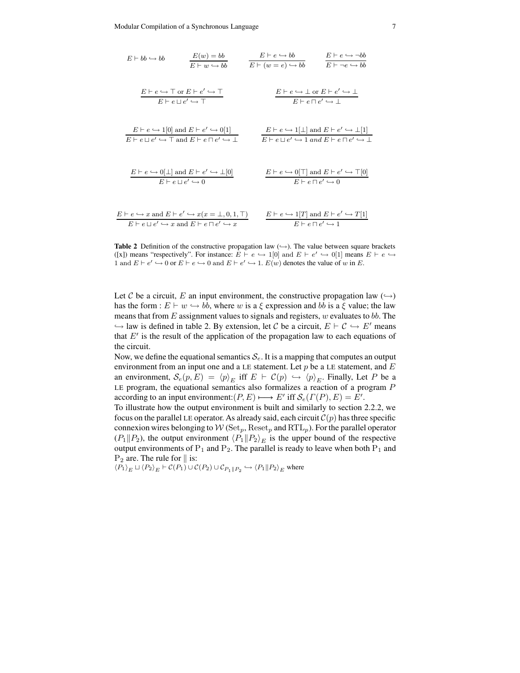$$
E \vdash bb \leftrightarrow bb
$$
\n
$$
\frac{E(w) = bb}{E \vdash w \hookrightarrow bb}
$$
\n
$$
\frac{E \vdash e \hookrightarrow bb}{E \vdash (w = e) \hookrightarrow bb}
$$
\n
$$
\frac{E \vdash e \hookrightarrow \neg bb}{E \vdash \neg e \hookrightarrow bb}
$$
\n
$$
\frac{E \vdash e \hookrightarrow \top \text{ or } E \vdash e' \hookrightarrow \top}{E \vdash e \sqcup e' \hookrightarrow \top}
$$
\n
$$
\frac{E \vdash e \hookrightarrow \bot \text{ or } E \vdash e' \hookrightarrow \bot}{E \vdash e \sqcap e' \hookrightarrow \bot}
$$
\n
$$
\frac{E \vdash e \hookrightarrow 1[0] \text{ and } E \vdash e' \hookrightarrow 0[1]}{E \vdash e \sqcup e' \hookrightarrow \top \text{ and } E \vdash e \sqcap e' \hookrightarrow \bot}
$$
\n
$$
\frac{E \vdash e \hookrightarrow 1[\bot] \text{ and } E \vdash e' \hookrightarrow \bot[1]}{E \vdash e \sqcup e' \hookrightarrow 1 \text{ and } E \vdash e \sqcap e' \hookrightarrow \bot}
$$
\n
$$
\frac{E \vdash e \hookrightarrow 0[\top] \text{ and } E \vdash e' \hookrightarrow \top[0]}{E \vdash e \sqcap e' \hookrightarrow 0}
$$
\n
$$
\frac{E \vdash e \hookrightarrow 0[\top] \text{ and } E \vdash e' \hookrightarrow \top[0]}{E \vdash e \sqcap e' \hookrightarrow 0}
$$
\n
$$
\frac{E \vdash e \hookrightarrow 1[T] \text{ and } E \vdash e' \hookrightarrow T[1]}{E \vdash e \sqcap e' \hookrightarrow x \text{ and } E \vdash e \sqcap e' \hookrightarrow x}
$$
\n
$$
\frac{E \vdash e \hookrightarrow 1[T] \text{ and } E \vdash e' \hookrightarrow T[1]}{E \vdash e \sqcap e' \hookrightarrow 1}
$$

**Table 2** Definition of the constructive propagation law  $(\rightarrow)$ . The value between square brackets ([x]) means "respectively". For instance:  $E \vdash e \hookrightarrow 1[0]$  and  $E \vdash e' \hookrightarrow 0[1]$  means  $E \vdash e \hookrightarrow$ 1 and  $E \vdash e' \hookrightarrow 0$  or  $E \vdash e \hookrightarrow 0$  and  $E \vdash e' \hookrightarrow 1$ .  $E(w)$  denotes the value of w in E.

Let C be a circuit, E an input environment, the constructive propagation law  $(\rightarrow)$ has the form :  $E \vdash w \hookrightarrow bb$ , where w is a  $\xi$  expression and bb is a  $\xi$  value; the law means that from  $E$  assignment values to signals and registers,  $w$  evaluates to bb. The  $\hookrightarrow$  law is defined in table 2. By extension, let C be a circuit,  $E \vdash C \hookrightarrow E'$  means that  $E'$  is the result of the application of the propagation law to each equations of the circuit.

Now, we define the equational semantics  $S_e$ . It is a mapping that computes an output environment from an input one and a LE statement. Let  $p$  be a LE statement, and  $E$ an environment,  $S_e(p, E) = \langle p \rangle_E$  iff  $E \vdash C(p) \hookrightarrow \langle p \rangle_E$ . Finally, Let P be a LE program, the equational semantics also formalizes a reaction of a program  $P$ according to an input environment:  $(P, E) \longrightarrow E'$  iff  $\mathcal{S}_e(\Gamma(P), E) = E'$ .

To illustrate how the output environment is built and similarly to section 2.2.2, we focus on the parallel LE operator. As already said, each circuit  $C(p)$  has three specific connexion wires belonging to  $W(\text{Set}_p, \text{Reset}_p \text{ and } \text{RTL}_p)$ . For the parallel operator  $(P_1 \| P_2)$ , the output environment  $\langle P_1 \| P_2 \rangle_E$  is the upper bound of the respective output environments of  $P_1$  and  $P_2$ . The parallel is ready to leave when both  $P_1$  and  $P_2$  are. The rule for  $\parallel$  is:

 $\langle P_1 \rangle_E \sqcup \langle P_2 \rangle_E \vdash \mathcal{C}(P_1) \cup \mathcal{C}(P_2) \cup \mathcal{C}_{P_1 \parallel P_2} \hookrightarrow \langle P_1 \parallel P_2 \rangle_E$  where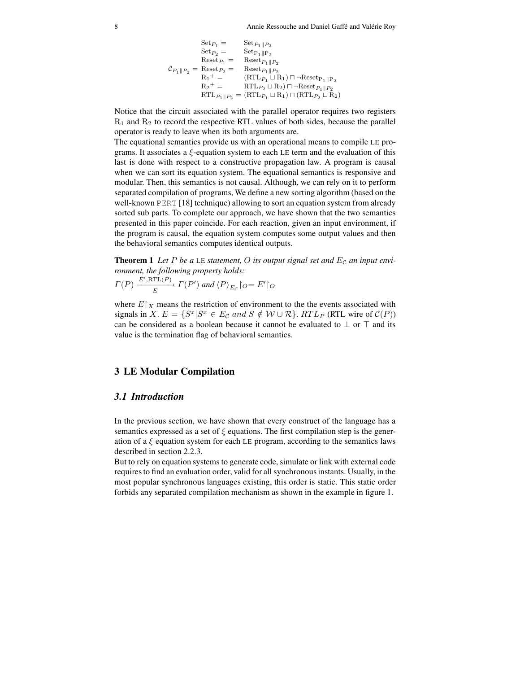8 Annie Ressouche and Daniel Gaffé and Valérie Roy

$$
\begin{array}{rcl} \mathrm{Set}_{P_1}=&\mathrm{Set}_{P_1\Vert P_2}\\ &\mathrm{Set}_{P_2}=&\mathrm{Set}_{P_1\Vert P_2}\\ &\mathrm{Reset}_{P_1}=&\mathrm{Reset}_{P_1\Vert P_2}\\ &\mathcal{C}_{P_1\Vert P_2}=\mathrm{Reset}_{P_2}=&\mathrm{Reset}_{P_1\Vert P_2}\\ &\mathcal{R}_1\hskip-2mm+\hskip-2mm=\mathrm{RTL}_{P_1}\sqcup\mathcal{R}_1)\sqcap\neg\mathrm{Reset}_{P_1\Vert P_2}\\ &\mathcal{R}_2\hskip-2mm+\hskip-2mm=\mathrm{RTL}_{P_2}\sqcup\mathcal{R}_2)\sqcap\neg\mathrm{Reset}_{P_1\Vert P_2}\\ &\mathrm{RTL}_{P_1\Vert P_2}=\left(\mathrm{RTL}_{P_1}\sqcup\mathcal{R}_1\right)\sqcap\left(\mathrm{RTL}_{P_2}\sqcup\mathcal{R}_2\right)\end{array}
$$

Notice that the circuit associated with the parallel operator requires two registers  $R_1$  and  $R_2$  to record the respective RTL values of both sides, because the parallel operator is ready to leave when its both arguments are.

The equational semantics provide us with an operational means to compile LE programs. It associates a  $\xi$ -equation system to each LE term and the evaluation of this last is done with respect to a constructive propagation law. A program is causal when we can sort its equation system. The equational semantics is responsive and modular. Then, this semantics is not causal. Although, we can rely on it to perform separated compilation of programs, We define a new sorting algorithm (based on the well-known PERT [18] technique) allowing to sort an equation system from already sorted sub parts. To complete our approach, we have shown that the two semantics presented in this paper coincide. For each reaction, given an input environment, if the program is causal, the equation system computes some output values and then the behavioral semantics computes identical outputs.

**Theorem 1** Let P be a LE statement, O its output signal set and  $E_c$  an input envi*ronment, the following property holds:*  $\overline{a}$ 

$$
\Gamma(P) \xrightarrow{E',\text{RTL}(P)} \Gamma(P')
$$
 and  $\langle P \rangle_{E_C} \cap E' \cap C$ 

where  $E|_X$  means the restriction of environment to the the events associated with signals in X.  $E = \{S^x | S^x \in E_{\mathcal{C}} \text{ and } S \notin \mathcal{W} \cup \mathcal{R}\}$ . RTL<sub>P</sub> (RTL wire of  $\mathcal{C}(P)$ ) can be considered as a boolean because it cannot be evaluated to  $\perp$  or  $\top$  and its value is the termination flag of behavioral semantics.

### **3 LE Modular Compilation**

#### *3.1 Introduction*

In the previous section, we have shown that every construct of the language has a semantics expressed as a set of  $\xi$  equations. The first compilation step is the generation of a  $\xi$  equation system for each LE program, according to the semantics laws described in section 2.2.3.

But to rely on equation systems to generate code, simulate or link with external code requires to find an evaluation order, valid for all synchronous instants. Usually, in the most popular synchronous languages existing, this order is static. This static order forbids any separated compilation mechanism as shown in the example in figure 1.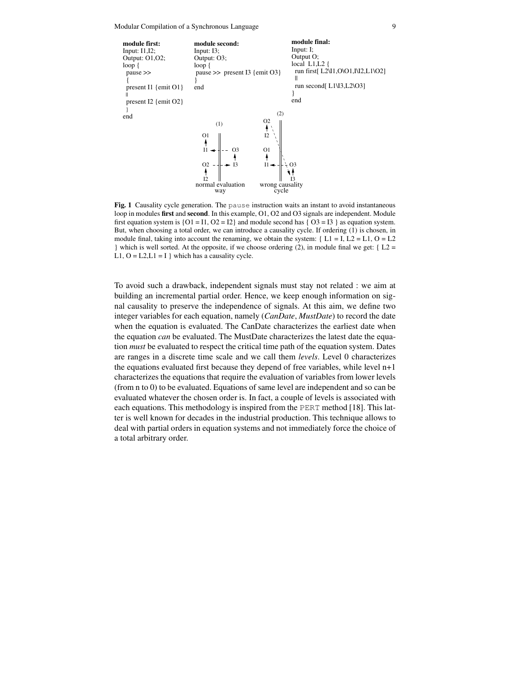Modular Compilation of a Synchronous Language 9



Fig. 1 Causality cycle generation. The pause instruction waits an instant to avoid instantaneous loop in modules **first** and **second**. In this example, O1, O2 and O3 signals are independent. Module first equation system is  ${O1 = I1, O2 = I2}$  and module second has  ${O3 = I3}$  as equation system. But, when choosing a total order, we can introduce a causality cycle. If ordering (1) is chosen, in module final, taking into account the renaming, we obtain the system: { $L1 = I, L2 = L1, O = L2$ } which is well sorted. At the opposite, if we choose ordering (2), in module final we get: { $L2 =$ L1,  $O = L2$ , $L1 = I$  } which has a causality cycle.

To avoid such a drawback, independent signals must stay not related : we aim at building an incremental partial order. Hence, we keep enough information on signal causality to preserve the independence of signals. At this aim, we define two integer variables for each equation, namely (*CanDate*, *MustDate*) to record the date when the equation is evaluated. The CanDate characterizes the earliest date when the equation *can* be evaluated. The MustDate characterizes the latest date the equation *must* be evaluated to respect the critical time path of the equation system. Dates are ranges in a discrete time scale and we call them *levels*. Level 0 characterizes the equations evaluated first because they depend of free variables, while level n+1 characterizes the equations that require the evaluation of variables from lower levels (from n to 0) to be evaluated. Equations of same level are independent and so can be evaluated whatever the chosen order is. In fact, a couple of levels is associated with each equations. This methodology is inspired from the PERT method [18]. This latter is well known for decades in the industrial production. This technique allows to deal with partial orders in equation systems and not immediately force the choice of a total arbitrary order.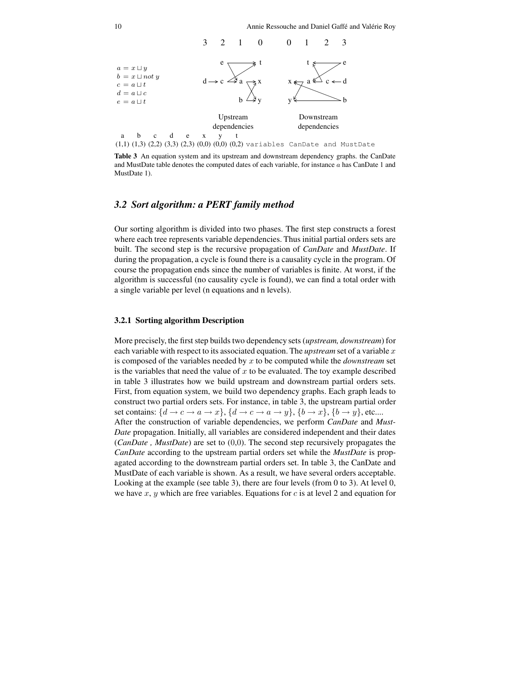10 Annie Ressouche and Daniel Gaffé and Valérie Roy



**Table 3** An equation system and its upstream and downstream dependency graphs. the CanDate and MustDate table denotes the computed dates of each variable, for instance a has CanDate 1 and MustDate 1).

# *3.2 Sort algorithm: a PERT family method*

Our sorting algorithm is divided into two phases. The first step constructs a forest where each tree represents variable dependencies. Thus initial partial orders sets are built. The second step is the recursive propagation of *CanDate* and *MustDate*. If during the propagation, a cycle is found there is a causality cycle in the program. Of course the propagation ends since the number of variables is finite. At worst, if the algorithm is successful (no causality cycle is found), we can find a total order with a single variable per level (n equations and n levels).

#### **3.2.1 Sorting algorithm Description**

More precisely, the first step builds two dependency sets (*upstream, downstream*) for each variable with respect to its associated equation. The *upstream* set of a variable x is composed of the variables needed by x to be computed while the *downstream* set is the variables that need the value of x to be evaluated. The toy example described in table 3 illustrates how we build upstream and downstream partial orders sets. First, from equation system, we build two dependency graphs. Each graph leads to construct two partial orders sets. For instance, in table 3, the upstream partial order set contains:  $\{d \rightarrow c \rightarrow a \rightarrow x\}$ ,  $\{d \rightarrow c \rightarrow a \rightarrow y\}$ ,  $\{b \rightarrow x\}$ ,  $\{b \rightarrow y\}$ , etc.... After the construction of variable dependencies, we perform *CanDate* and *Must-Date* propagation. Initially, all variables are considered independent and their dates (*CanDate , MustDate*) are set to (0,0). The second step recursively propagates the *CanDate* according to the upstream partial orders set while the *MustDate* is propagated according to the downstream partial orders set. In table 3, the CanDate and MustDate of each variable is shown. As a result, we have several orders acceptable. Looking at the example (see table 3), there are four levels (from 0 to 3). At level 0, we have x, y which are free variables. Equations for c is at level 2 and equation for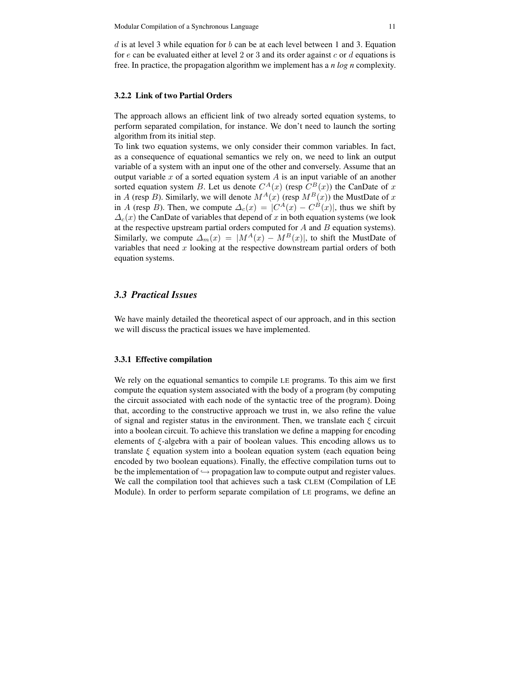d is at level 3 while equation for b can be at each level between 1 and 3. Equation for  $e$  can be evaluated either at level 2 or 3 and its order against  $c$  or  $d$  equations is free. In practice, the propagation algorithm we implement has a *n log n* complexity.

#### **3.2.2 Link of two Partial Orders**

The approach allows an efficient link of two already sorted equation systems, to perform separated compilation, for instance. We don't need to launch the sorting algorithm from its initial step.

To link two equation systems, we only consider their common variables. In fact, as a consequence of equational semantics we rely on, we need to link an output variable of a system with an input one of the other and conversely. Assume that an output variable x of a sorted equation system  $A$  is an input variable of an another sorted equation system B. Let us denote  $C^{A}(x)$  (resp  $C^{B}(x)$ ) the CanDate of x in A (resp B). Similarly, we will denote  $M^{A}(x)$  (resp  $M^{B}(x)$ ) the MustDate of x in A (resp B). Then, we compute  $\Delta_c(x) = |C^A(x) - C^B(x)|$ , thus we shift by  $\Delta_c(x)$  the CanDate of variables that depend of x in both equation systems (we look at the respective upstream partial orders computed for  $A$  and  $B$  equation systems). Similarly, we compute  $\Delta_m(x) = |M^A(x) - M^B(x)|$ , to shift the MustDate of variables that need  $x$  looking at the respective downstream partial orders of both equation systems.

# *3.3 Practical Issues*

We have mainly detailed the theoretical aspect of our approach, and in this section we will discuss the practical issues we have implemented.

#### **3.3.1 Effective compilation**

We rely on the equational semantics to compile LE programs. To this aim we first compute the equation system associated with the body of a program (by computing the circuit associated with each node of the syntactic tree of the program). Doing that, according to the constructive approach we trust in, we also refine the value of signal and register status in the environment. Then, we translate each  $\xi$  circuit into a boolean circuit. To achieve this translation we define a mapping for encoding elements of ξ-algebra with a pair of boolean values. This encoding allows us to translate  $\xi$  equation system into a boolean equation system (each equation being encoded by two boolean equations). Finally, the effective compilation turns out to be the implementation of  $\hookrightarrow$  propagation law to compute output and register values. We call the compilation tool that achieves such a task CLEM (Compilation of LE Module). In order to perform separate compilation of LE programs, we define an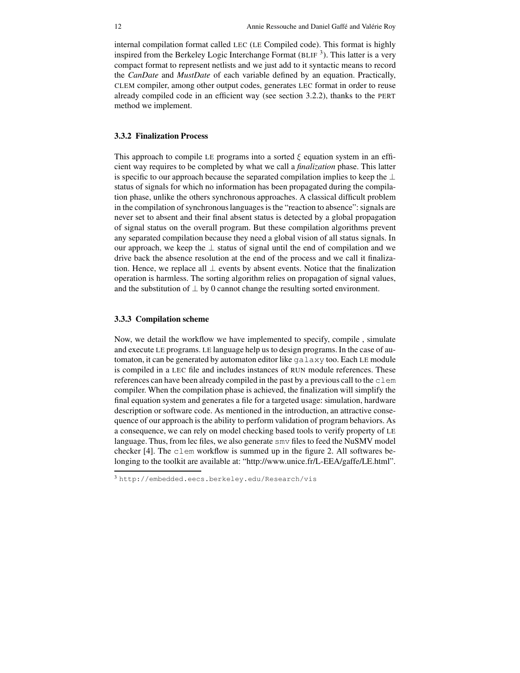internal compilation format called LEC (LE Compiled code). This format is highly inspired from the Berkeley Logic Interchange Format (BLIF 3 ). This latter is a very compact format to represent netlists and we just add to it syntactic means to record the *CanDate* and *MustDate* of each variable defined by an equation. Practically, CLEM compiler, among other output codes, generates LEC format in order to reuse already compiled code in an efficient way (see section 3.2.2), thanks to the PERT method we implement.

#### **3.3.2 Finalization Process**

This approach to compile LE programs into a sorted  $\xi$  equation system in an efficient way requires to be completed by what we call a *finalization* phase. This latter is specific to our approach because the separated compilation implies to keep the ⊥ status of signals for which no information has been propagated during the compilation phase, unlike the others synchronous approaches. A classical difficult problem in the compilation of synchronous languages is the "reaction to absence": signals are never set to absent and their final absent status is detected by a global propagation of signal status on the overall program. But these compilation algorithms prevent any separated compilation because they need a global vision of all status signals. In our approach, we keep the ⊥ status of signal until the end of compilation and we drive back the absence resolution at the end of the process and we call it finalization. Hence, we replace all  $\perp$  events by absent events. Notice that the finalization operation is harmless. The sorting algorithm relies on propagation of signal values, and the substitution of  $\perp$  by 0 cannot change the resulting sorted environment.

#### **3.3.3 Compilation scheme**

Now, we detail the workflow we have implemented to specify, compile , simulate and execute LE programs. LE language help us to design programs. In the case of automaton, it can be generated by automaton editor like galaxy too. Each LE module is compiled in a LEC file and includes instances of RUN module references. These references can have been already compiled in the past by a previous call to the  $clem$ compiler. When the compilation phase is achieved, the finalization will simplify the final equation system and generates a file for a targeted usage: simulation, hardware description or software code. As mentioned in the introduction, an attractive consequence of our approach is the ability to perform validation of program behaviors. As a consequence, we can rely on model checking based tools to verify property of LE language. Thus, from lec files, we also generate smv files to feed the NuSMV model checker [4]. The clem workflow is summed up in the figure 2. All softwares belonging to the toolkit are available at: "http://www.unice.fr/L-EEA/gaffe/LE.html".

<sup>3</sup> http://embedded.eecs.berkeley.edu/Research/vis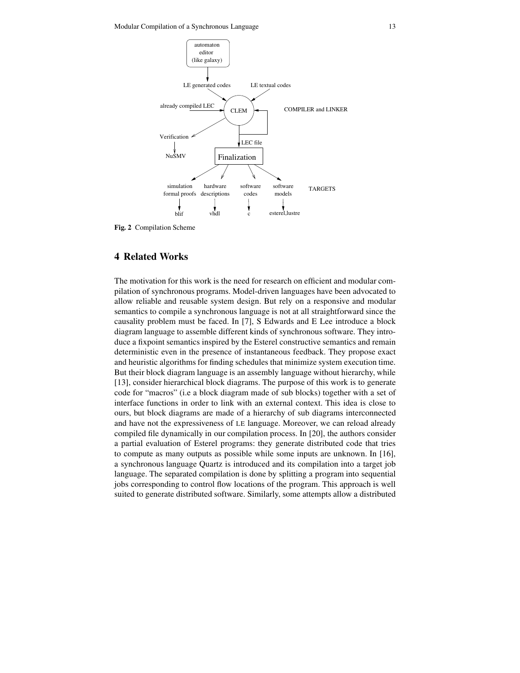

**Fig. 2** Compilation Scheme

# **4 Related Works**

The motivation for this work is the need for research on efficient and modular compilation of synchronous programs. Model-driven languages have been advocated to allow reliable and reusable system design. But rely on a responsive and modular semantics to compile a synchronous language is not at all straightforward since the causality problem must be faced. In [7], S Edwards and E Lee introduce a block diagram language to assemble different kinds of synchronous software. They introduce a fixpoint semantics inspired by the Esterel constructive semantics and remain deterministic even in the presence of instantaneous feedback. They propose exact and heuristic algorithms for finding schedules that minimize system execution time. But their block diagram language is an assembly language without hierarchy, while [13], consider hierarchical block diagrams. The purpose of this work is to generate code for "macros" (i.e a block diagram made of sub blocks) together with a set of interface functions in order to link with an external context. This idea is close to ours, but block diagrams are made of a hierarchy of sub diagrams interconnected and have not the expressiveness of LE language. Moreover, we can reload already compiled file dynamically in our compilation process. In [20], the authors consider a partial evaluation of Esterel programs: they generate distributed code that tries to compute as many outputs as possible while some inputs are unknown. In [16], a synchronous language Quartz is introduced and its compilation into a target job language. The separated compilation is done by splitting a program into sequential jobs corresponding to control flow locations of the program. This approach is well suited to generate distributed software. Similarly, some attempts allow a distributed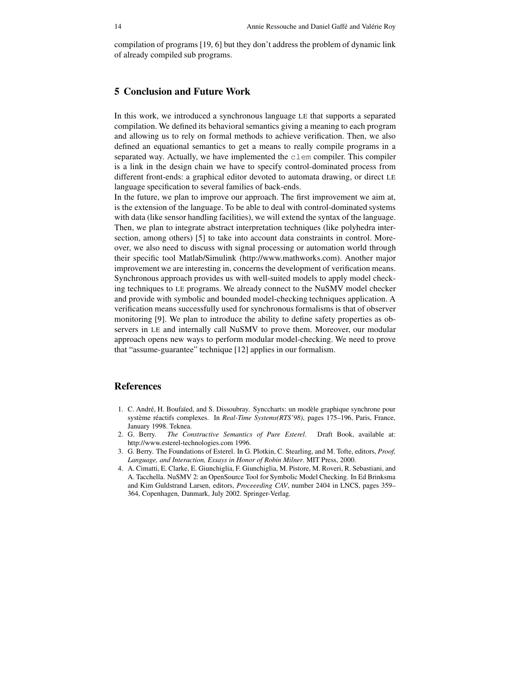compilation of programs [19, 6] but they don't address the problem of dynamic link of already compiled sub programs.

## **5 Conclusion and Future Work**

In this work, we introduced a synchronous language LE that supports a separated compilation. We defined its behavioral semantics giving a meaning to each program and allowing us to rely on formal methods to achieve verification. Then, we also defined an equational semantics to get a means to really compile programs in a separated way. Actually, we have implemented the clem compiler. This compiler is a link in the design chain we have to specify control-dominated process from different front-ends: a graphical editor devoted to automata drawing, or direct LE language specification to several families of back-ends.

In the future, we plan to improve our approach. The first improvement we aim at, is the extension of the language. To be able to deal with control-dominated systems with data (like sensor handling facilities), we will extend the syntax of the language. Then, we plan to integrate abstract interpretation techniques (like polyhedra intersection, among others) [5] to take into account data constraints in control. Moreover, we also need to discuss with signal processing or automation world through their specific tool Matlab/Simulink (http://www.mathworks.com). Another major improvement we are interesting in, concerns the development of verification means. Synchronous approach provides us with well-suited models to apply model checking techniques to LE programs. We already connect to the NuSMV model checker and provide with symbolic and bounded model-checking techniques application. A verification means successfully used for synchronous formalisms is that of observer monitoring [9]. We plan to introduce the ability to define safety properties as observers in LE and internally call NuSMV to prove them. Moreover, our modular approach opens new ways to perform modular model-checking. We need to prove that "assume-guarantee" technique [12] applies in our formalism.

# **References**

- 1. C. André, H. Boufaïed, and S. Dissoubray. Synccharts: un modèle graphique synchrone pour système réactifs complexes. In *Real-Time Systems(RTS'98)*, pages 175–196, Paris, France, January 1998. Teknea.
- 2. G. Berry. *The Constructive Semantics of Pure Esterel*. Draft Book, available at: http://www.esterel-technologies.com 1996.
- 3. G. Berry. The Foundations of Esterel. In G. Plotkin, C. Stearling, and M. Tofte, editors, *Proof, Language, and Interaction, Essays in Honor of Robin Milner*. MIT Press, 2000.
- 4. A. Cimatti, E. Clarke, E. Giunchiglia, F. Giunchiglia, M. Pistore, M. Roveri, R. Sebastiani, and A. Tacchella. NuSMV 2: an OpenSource Tool for Symbolic Model Checking. In Ed Brinksma and Kim Guldstrand Larsen, editors, *Proceeeding CAV*, number 2404 in LNCS, pages 359– 364, Copenhagen, Danmark, July 2002. Springer-Verlag.